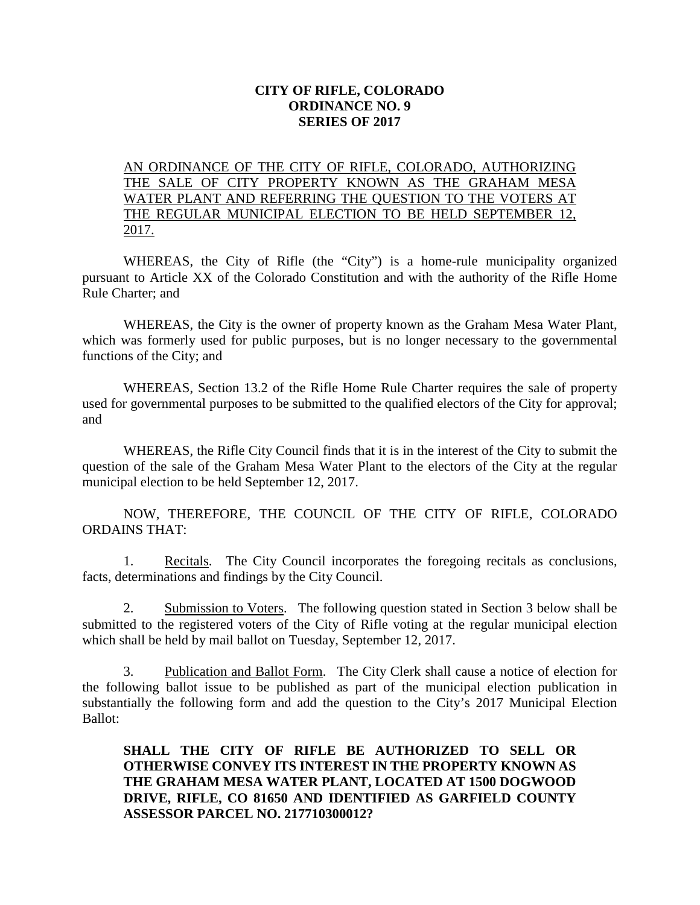## **CITY OF RIFLE, COLORADO ORDINANCE NO. 9 SERIES OF 2017**

## AN ORDINANCE OF THE CITY OF RIFLE, COLORADO, AUTHORIZING THE SALE OF CITY PROPERTY KNOWN AS THE GRAHAM MESA WATER PLANT AND REFERRING THE QUESTION TO THE VOTERS AT THE REGULAR MUNICIPAL ELECTION TO BE HELD SEPTEMBER 12, 2017.

WHEREAS, the City of Rifle (the "City") is a home-rule municipality organized pursuant to Article XX of the Colorado Constitution and with the authority of the Rifle Home Rule Charter; and

WHEREAS, the City is the owner of property known as the Graham Mesa Water Plant, which was formerly used for public purposes, but is no longer necessary to the governmental functions of the City; and

WHEREAS, Section 13.2 of the Rifle Home Rule Charter requires the sale of property used for governmental purposes to be submitted to the qualified electors of the City for approval; and

WHEREAS, the Rifle City Council finds that it is in the interest of the City to submit the question of the sale of the Graham Mesa Water Plant to the electors of the City at the regular municipal election to be held September 12, 2017.

NOW, THEREFORE, THE COUNCIL OF THE CITY OF RIFLE, COLORADO ORDAINS THAT:

1. Recitals. The City Council incorporates the foregoing recitals as conclusions, facts, determinations and findings by the City Council.

2. Submission to Voters. The following question stated in Section 3 below shall be submitted to the registered voters of the City of Rifle voting at the regular municipal election which shall be held by mail ballot on Tuesday, September 12, 2017.

3. Publication and Ballot Form. The City Clerk shall cause a notice of election for the following ballot issue to be published as part of the municipal election publication in substantially the following form and add the question to the City's 2017 Municipal Election Ballot:

## **SHALL THE CITY OF RIFLE BE AUTHORIZED TO SELL OR OTHERWISE CONVEY ITS INTEREST IN THE PROPERTY KNOWN AS THE GRAHAM MESA WATER PLANT, LOCATED AT 1500 DOGWOOD DRIVE, RIFLE, CO 81650 AND IDENTIFIED AS GARFIELD COUNTY ASSESSOR PARCEL NO. 217710300012?**